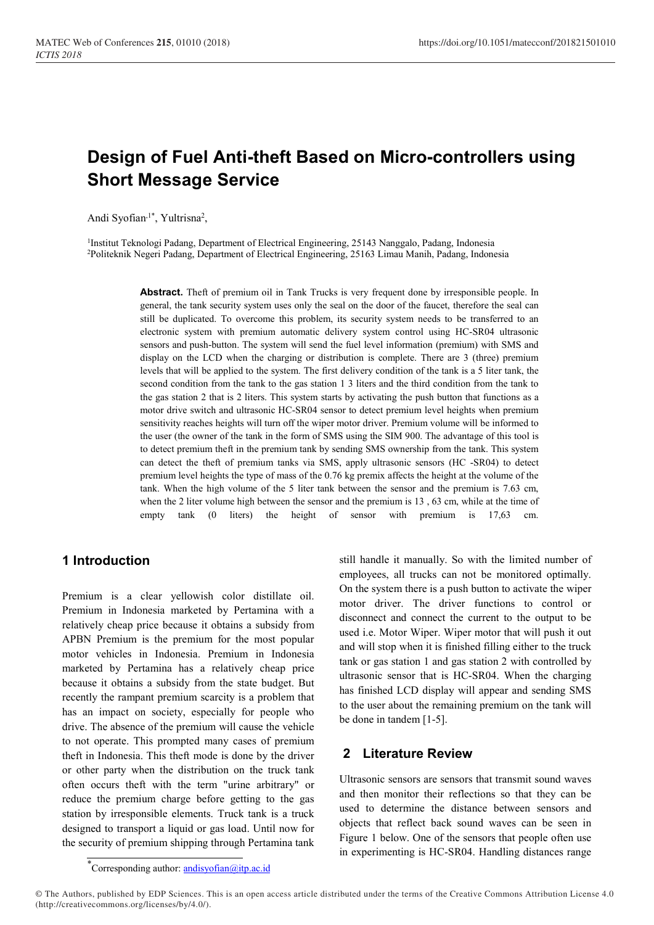# Design of Fuel Anti-theft Based on Micro-controllers using Short Message Service

Andi Syofian<sup>,1\*</sup>, Yultrisna<sup>2</sup>,

<sup>1</sup>Institut Teknologi Padang, Department of Electrical Engineering, 25143 Nanggalo, Padang, Indonesia <sup>2</sup>Politeknik Negeri Padang, Department of Electrical Engineering, 25163 Limau Manih, Padang, Indonesia

> Abstract. Theft of premium oil in Tank Trucks is very frequent done by irresponsible people. In general, the tank security system uses only the seal on the door of the faucet, therefore the seal can still be duplicated. To overcome this problem, its security system needs to be transferred to an electronic system with premium automatic delivery system control using HC-SR04 ultrasonic sensors and push-button. The system will send the fuel level information (premium) with SMS and display on the LCD when the charging or distribution is complete. There are 3 (three) premium levels that will be applied to the system. The first delivery condition of the tank is a 5 liter tank, the second condition from the tank to the gas station 1 3 liters and the third condition from the tank to the gas station 2 that is 2 liters. This system starts by activating the push button that functions as a motor drive switch and ultrasonic HC-SR04 sensor to detect premium level heights when premium sensitivity reaches heights will turn off the wiper motor driver. Premium volume will be informed to the user (the owner of the tank in the form of SMS using the SIM 900. The advantage of this tool is to detect premium theft in the premium tank by sending SMS ownership from the tank. This system can detect the theft of premium tanks via SMS, apply ultrasonic sensors (HC -SR04) to detect premium level heights the type of mass of the 0.76 kg premix affects the height at the volume of the tank. When the high volume of the 5 liter tank between the sensor and the premium is 7.63 cm, when the 2 liter volume high between the sensor and the premium is 13 , 63 cm, while at the time of empty tank (0 liters) the height of sensor with premium is 17,63 cm.

## 1 Introduction

Premium is a clear yellowish color distillate oil. Premium in Indonesia marketed by Pertamina with a relatively cheap price because it obtains a subsidy from APBN Premium is the premium for the most popular motor vehicles in Indonesia. Premium in Indonesia marketed by Pertamina has a relatively cheap price because it obtains a subsidy from the state budget. But recently the rampant premium scarcity is a problem that has an impact on society, especially for people who drive. The absence of the premium will cause the vehicle to not operate. This prompted many cases of premium theft in Indonesia. This theft mode is done by the driver or other party when the distribution on the truck tank often occurs theft with the term "urine arbitrary" or reduce the premium charge before getting to the gas station by irresponsible elements. Truck tank is a truck designed to transport a liquid or gas load. Until now for the security of premium shipping through Pertamina tank

still handle it manually. So with the limited number of employees, all trucks can not be monitored optimally. On the system there is a push button to activate the wiper motor driver. The driver functions to control or disconnect and connect the current to the output to be used i.e. Motor Wiper. Wiper motor that will push it out and will stop when it is finished filling either to the truck tank or gas station 1 and gas station 2 with controlled by ultrasonic sensor that is HC-SR04. When the charging has finished LCD display will appear and sending SMS to the user about the remaining premium on the tank will be done in tandem [1-5].

### 2 Literature Review

Ultrasonic sensors are sensors that transmit sound waves and then monitor their reflections so that they can be used to determine the distance between sensors and objects that reflect back sound waves can be seen in Figure 1 below. One of the sensors that people often use in experimenting is HC-SR04. Handling distances range

<sup>\*</sup>Corresponding author: andisyofian@itp.ac.id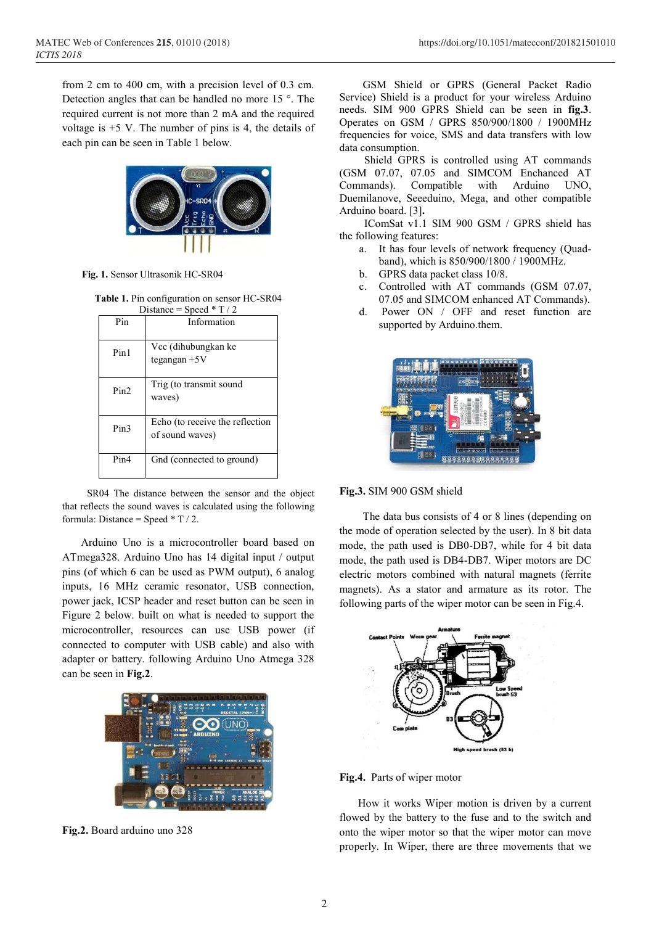from 2 cm to 400 cm, with a precision level of 0.3 cm. Detection angles that can be handled no more 15 °. The required current is not more than 2 mA and the required voltage is  $+5$  V. The number of pins is 4, the details of each pin can be seen in Table 1 below.



Fig. 1. Sensor Ultrasonik HC-SR04

Table 1. Pin configuration on sensor HC-SR04 Distance = Speed  $*$  T / 2

| Pin  | Information                                        |
|------|----------------------------------------------------|
| Pin1 | Vcc (dihubungkan ke<br>tegangan +5V                |
| Pin2 | Trig (to transmit sound<br>waves)                  |
| Pin3 | Echo (to receive the reflection<br>of sound waves) |
| Pin4 | Gnd (connected to ground)                          |

SR04 The distance between the sensor and the object that reflects the sound waves is calculated using the following formula: Distance = Speed  $*$  T / 2.

 Arduino Uno is a microcontroller board based on ATmega328. Arduino Uno has 14 digital input / output pins (of which 6 can be used as PWM output), 6 analog inputs, 16 MHz ceramic resonator, USB connection, power jack, ICSP header and reset button can be seen in Figure 2 below. built on what is needed to support the microcontroller, resources can use USB power (if connected to computer with USB cable) and also with adapter or battery. following Arduino Uno Atmega 328 can be seen in Fig.2.



Fig.2. Board arduino uno 328

GSM Shield or GPRS (General Packet Radio Service) Shield is a product for your wireless Arduino needs. SIM 900 GPRS Shield can be seen in fig.3. Operates on GSM / GPRS 850/900/1800 / 1900MHz frequencies for voice, SMS and data transfers with low data consumption.

Shield GPRS is controlled using AT commands (GSM 07.07, 07.05 and SIMCOM Enchanced AT Commands). Compatible with Arduino UNO, Duemilanove, Seeeduino, Mega, and other compatible Arduino board. [3].

IComSat v1.1 SIM 900 GSM / GPRS shield has the following features:

- a. It has four levels of network frequency (Quadband), which is 850/900/1800 / 1900MHz.
- b. GPRS data packet class 10/8.
- c. Controlled with AT commands (GSM 07.07, 07.05 and SIMCOM enhanced AT Commands).
- d. Power ON / OFF and reset function are supported by Arduino.them.



Fig.3. SIM 900 GSM shield

The data bus consists of 4 or 8 lines (depending on the mode of operation selected by the user). In 8 bit data mode, the path used is DB0-DB7, while for 4 bit data mode, the path used is DB4-DB7. Wiper motors are DC electric motors combined with natural magnets (ferrite magnets). As a stator and armature as its rotor. The following parts of the wiper motor can be seen in Fig.4.



Fig.4. Parts of wiper motor

 How it works Wiper motion is driven by a current flowed by the battery to the fuse and to the switch and onto the wiper motor so that the wiper motor can move properly. In Wiper, there are three movements that we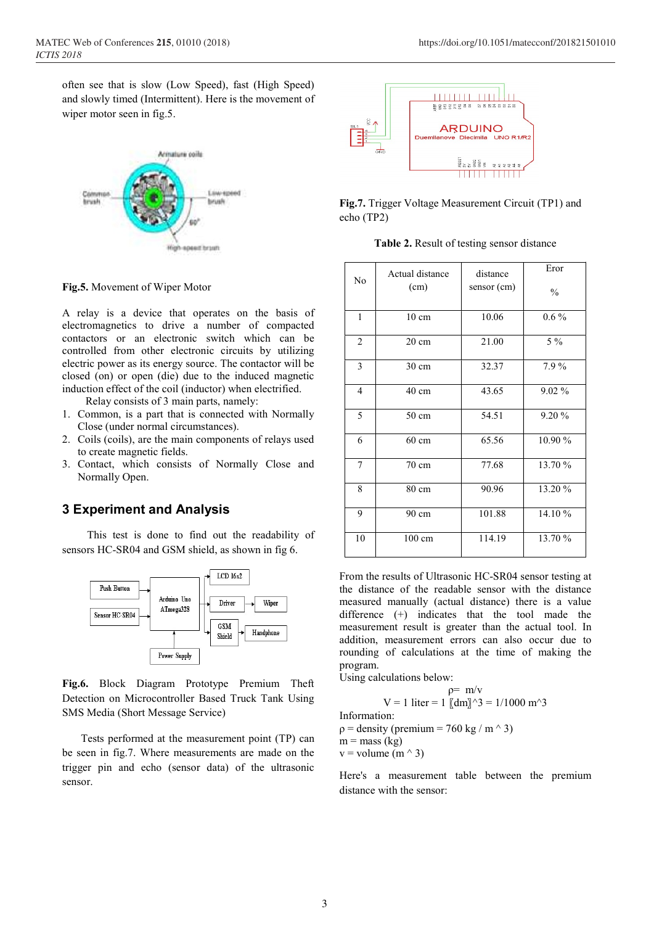often see that is slow (Low Speed), fast (High Speed) and slowly timed (Intermittent). Here is the movement of wiper motor seen in fig.5.



Fig.5. Movement of Wiper Motor

A relay is a device that operates on the basis of electromagnetics to drive a number of compacted contactors or an electronic switch which can be controlled from other electronic circuits by utilizing electric power as its energy source. The contactor will be closed (on) or open (die) due to the induced magnetic induction effect of the coil (inductor) when electrified.

Relay consists of 3 main parts, namely:

- 1. Common, is a part that is connected with Normally Close (under normal circumstances).
- 2. Coils (coils), are the main components of relays used to create magnetic fields.
- 3. Contact, which consists of Normally Close and Normally Open.

### 3 Experiment and Analysis

This test is done to find out the readability of sensors HC-SR04 and GSM shield, as shown in fig 6.



Fig.6. Block Diagram Prototype Premium Theft Detection on Microcontroller Based Truck Tank Using SMS Media (Short Message Service)

 Tests performed at the measurement point (TP) can be seen in fig.7. Where measurements are made on the trigger pin and echo (sensor data) of the ultrasonic sensor.



Fig.7. Trigger Voltage Measurement Circuit (TP1) and echo (TP2)

|  |  | Table 2. Result of testing sensor distance |  |  |
|--|--|--------------------------------------------|--|--|
|--|--|--------------------------------------------|--|--|

| N <sub>o</sub> | Actual distance<br>(cm) | distance<br>sensor (cm) | Eror<br>$\frac{0}{0}$ |
|----------------|-------------------------|-------------------------|-----------------------|
| $\mathbf{1}$   | $10 \text{ cm}$         | 10.06                   | $0.6\%$               |
| $\overline{2}$ | $20 \text{ cm}$         | 21.00                   | $5\%$                 |
| 3              | $30 \text{ cm}$         | 32.37                   | 7.9%                  |
| $\overline{4}$ | $40 \text{ cm}$         | 43.65                   | $9.02\%$              |
| 5              | $50 \text{ cm}$         | 54.51                   | 9.20%                 |
| 6              | $60 \text{ cm}$         | 65.56                   | 10.90 %               |
| $\tau$         | $70 \text{ cm}$         | 77.68                   | 13.70 %               |
| 8              | 80 cm                   | 90.96                   | 13.20 %               |
| 9              | 90 cm                   | 101.88                  | 14.10 %               |
| 10             | 100 cm                  | 114.19                  | 13.70 %               |

From the results of Ultrasonic HC-SR04 sensor testing at the distance of the readable sensor with the distance measured manually (actual distance) there is a value difference (+) indicates that the tool made the measurement result is greater than the actual tool. In addition, measurement errors can also occur due to rounding of calculations at the time of making the program.

Using calculations below:

$$
\rho = m/v
$$
  
\nV = 1 liter = 1 [(dm)]^3 = 1/1000 m<sup>3</sup>  
\nInformation:  
\n
$$
\rho = density (premium = 760 kg / m3)
$$
  
\nm = mass (kg)  
\nv = volume (m<sup>3</sup>)

Here's a measurement table between the premium distance with the sensor: